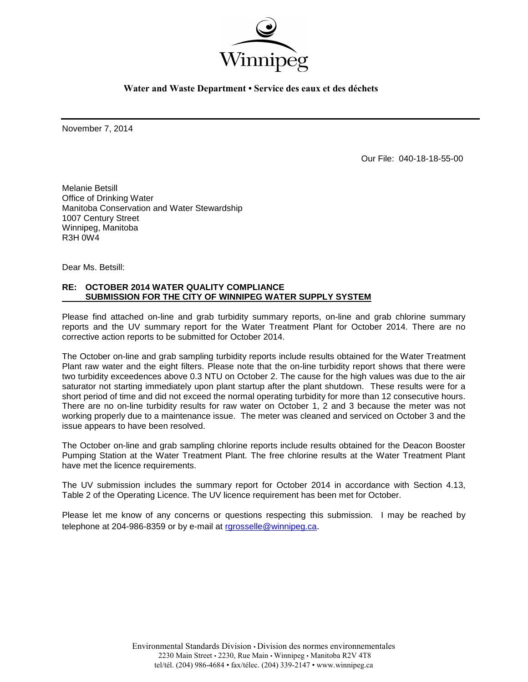

**Water and Waste Department • Service des eaux et des déchets**

November 7, 2014

Our File: 040-18-18-55-00

Melanie Betsill Office of Drinking Water Manitoba Conservation and Water Stewardship 1007 Century Street Winnipeg, Manitoba R3H 0W4

Dear Ms. Betsill:

## **RE: OCTOBER 2014 WATER QUALITY COMPLIANCE SUBMISSION FOR THE CITY OF WINNIPEG WATER SUPPLY SYSTEM**

Please find attached on-line and grab turbidity summary reports, on-line and grab chlorine summary reports and the UV summary report for the Water Treatment Plant for October 2014. There are no corrective action reports to be submitted for October 2014.

The October on-line and grab sampling turbidity reports include results obtained for the Water Treatment Plant raw water and the eight filters. Please note that the on-line turbidity report shows that there were two turbidity exceedences above 0.3 NTU on October 2. The cause for the high values was due to the air saturator not starting immediately upon plant startup after the plant shutdown. These results were for a short period of time and did not exceed the normal operating turbidity for more than 12 consecutive hours. There are no on-line turbidity results for raw water on October 1, 2 and 3 because the meter was not working properly due to a maintenance issue. The meter was cleaned and serviced on October 3 and the issue appears to have been resolved.

The October on-line and grab sampling chlorine reports include results obtained for the Deacon Booster Pumping Station at the Water Treatment Plant. The free chlorine results at the Water Treatment Plant have met the licence requirements.

The UV submission includes the summary report for October 2014 in accordance with Section 4.13, Table 2 of the Operating Licence. The UV licence requirement has been met for October.

Please let me know of any concerns or questions respecting this submission. I may be reached by telephone at 204-986-8359 or by e-mail at [rgrosselle@winnipeg.ca](mailto:rgrosselle@winnipeg.ca).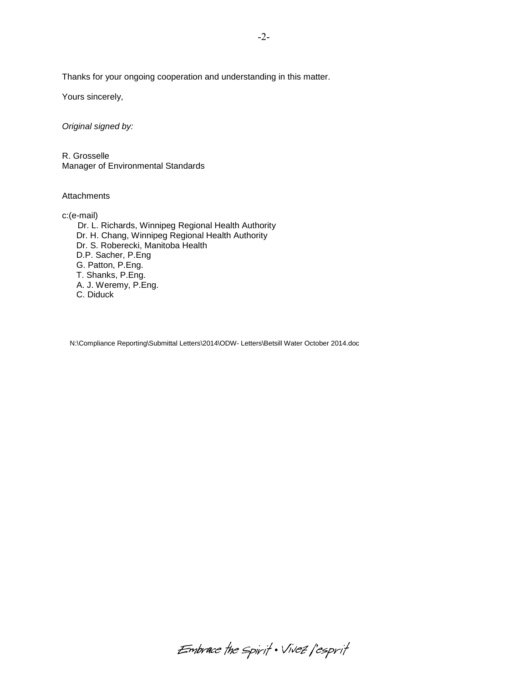Thanks for your ongoing cooperation and understanding in this matter.

Yours sincerely,

*Original signed by:*

R. Grosselle Manager of Environmental Standards

A. J. Weremy, P.Eng.

C. Diduck

**Attachments** 

c:(e-mail) Dr. L. Richards, Winnipeg Regional Health Authority Dr. H. Chang, Winnipeg Regional Health Authority Dr. S. Roberecki, Manitoba Health D.P. Sacher, P.Eng G. Patton, P.Eng. T. Shanks, P.Eng.

N:\Compliance Reporting\Submittal Letters\2014\ODW- Letters\Betsill Water October 2014.doc

-2-

Embrace the spirit . Vivez l'esprit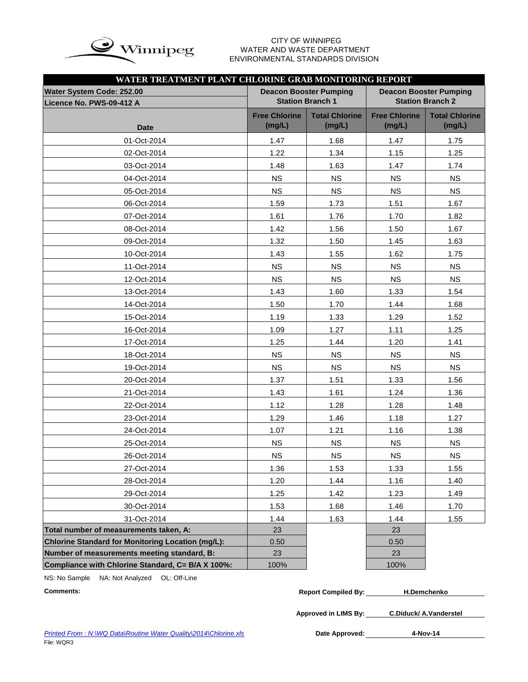

# WATER AND WASTE DEPARTMENT ENVIRONMENTAL STANDARDS DIVISION

| WATER TREATMENT PLANT CHLORINE GRAB MONITORING REPORT    |                                |                                                          |                                                          |                                 |  |  |  |  |  |  |  |  |  |
|----------------------------------------------------------|--------------------------------|----------------------------------------------------------|----------------------------------------------------------|---------------------------------|--|--|--|--|--|--|--|--|--|
| Water System Code: 252.00<br>Licence No. PWS-09-412 A    |                                | <b>Deacon Booster Pumping</b><br><b>Station Branch 1</b> | <b>Deacon Booster Pumping</b><br><b>Station Branch 2</b> |                                 |  |  |  |  |  |  |  |  |  |
| <b>Date</b>                                              | <b>Free Chlorine</b><br>(mg/L) | <b>Total Chlorine</b><br>(mg/L)                          | <b>Free Chlorine</b><br>(mg/L)                           | <b>Total Chlorine</b><br>(mg/L) |  |  |  |  |  |  |  |  |  |
| 01-Oct-2014                                              | 1.47                           | 1.68                                                     | 1.47                                                     | 1.75                            |  |  |  |  |  |  |  |  |  |
| 02-Oct-2014                                              | 1.22                           | 1.34                                                     | 1.15                                                     | 1.25                            |  |  |  |  |  |  |  |  |  |
| 03-Oct-2014                                              | 1.48                           | 1.63                                                     | 1.47                                                     | 1.74                            |  |  |  |  |  |  |  |  |  |
| 04-Oct-2014                                              | <b>NS</b>                      | <b>NS</b>                                                | <b>NS</b>                                                | <b>NS</b>                       |  |  |  |  |  |  |  |  |  |
| 05-Oct-2014                                              | <b>NS</b>                      | <b>NS</b>                                                | <b>NS</b>                                                | <b>NS</b>                       |  |  |  |  |  |  |  |  |  |
| 06-Oct-2014                                              | 1.59                           | 1.73                                                     | 1.51                                                     | 1.67                            |  |  |  |  |  |  |  |  |  |
| 07-Oct-2014                                              | 1.61                           | 1.76                                                     | 1.70                                                     | 1.82                            |  |  |  |  |  |  |  |  |  |
| 08-Oct-2014                                              | 1.42                           | 1.56                                                     | 1.50                                                     | 1.67                            |  |  |  |  |  |  |  |  |  |
| 09-Oct-2014                                              | 1.32                           | 1.50                                                     | 1.45                                                     | 1.63                            |  |  |  |  |  |  |  |  |  |
| 10-Oct-2014                                              | 1.43                           | 1.55                                                     | 1.62                                                     | 1.75                            |  |  |  |  |  |  |  |  |  |
| 11-Oct-2014                                              | <b>NS</b>                      | <b>NS</b>                                                | <b>NS</b>                                                | <b>NS</b>                       |  |  |  |  |  |  |  |  |  |
| 12-Oct-2014                                              | <b>NS</b>                      | <b>NS</b>                                                | <b>NS</b>                                                | <b>NS</b>                       |  |  |  |  |  |  |  |  |  |
| 13-Oct-2014                                              | 1.43                           | 1.60                                                     | 1.33                                                     | 1.54                            |  |  |  |  |  |  |  |  |  |
| 14-Oct-2014                                              | 1.50                           | 1.70                                                     | 1.44                                                     | 1.68                            |  |  |  |  |  |  |  |  |  |
| 15-Oct-2014                                              | 1.19                           | 1.33                                                     | 1.29                                                     | 1.52                            |  |  |  |  |  |  |  |  |  |
| 16-Oct-2014                                              | 1.09                           | 1.27                                                     | 1.11                                                     | 1.25                            |  |  |  |  |  |  |  |  |  |
| 17-Oct-2014                                              | 1.25                           | 1.44                                                     | 1.20                                                     | 1.41                            |  |  |  |  |  |  |  |  |  |
| 18-Oct-2014                                              | <b>NS</b>                      | <b>NS</b>                                                | <b>NS</b>                                                | <b>NS</b>                       |  |  |  |  |  |  |  |  |  |
| 19-Oct-2014                                              | <b>NS</b>                      | <b>NS</b>                                                | <b>NS</b>                                                | <b>NS</b>                       |  |  |  |  |  |  |  |  |  |
| 20-Oct-2014                                              | 1.37                           | 1.51                                                     | 1.33                                                     | 1.56                            |  |  |  |  |  |  |  |  |  |
| 21-Oct-2014                                              | 1.43                           | 1.61                                                     | 1.24                                                     | 1.36                            |  |  |  |  |  |  |  |  |  |
| 22-Oct-2014                                              | 1.12                           | 1.28                                                     | 1.28                                                     | 1.48                            |  |  |  |  |  |  |  |  |  |
| 23-Oct-2014                                              | 1.29                           | 1.46                                                     | 1.18                                                     | 1.27                            |  |  |  |  |  |  |  |  |  |
| 24-Oct-2014                                              | 1.07                           | 1.21                                                     | 1.16                                                     | 1.38                            |  |  |  |  |  |  |  |  |  |
| 25-Oct-2014                                              | <b>NS</b>                      | <b>NS</b>                                                | <b>NS</b>                                                | <b>NS</b>                       |  |  |  |  |  |  |  |  |  |
| 26-Oct-2014                                              | <b>NS</b>                      | <b>NS</b>                                                | <b>NS</b>                                                | <b>NS</b>                       |  |  |  |  |  |  |  |  |  |
| 27-Oct-2014                                              | 1.36                           | 1.53                                                     | 1.33                                                     | 1.55                            |  |  |  |  |  |  |  |  |  |
| 28-Oct-2014                                              | 1.20                           | 1.44                                                     | 1.16                                                     | 1.40                            |  |  |  |  |  |  |  |  |  |
| 29-Oct-2014                                              | 1.25                           | 1.42                                                     | 1.23                                                     | 1.49                            |  |  |  |  |  |  |  |  |  |
| 30-Oct-2014                                              | 1.53                           | 1.68                                                     | 1.46                                                     | 1.70                            |  |  |  |  |  |  |  |  |  |
| 31-Oct-2014                                              | 1.44                           | 1.63                                                     | 1.44                                                     | 1.55                            |  |  |  |  |  |  |  |  |  |
| Total number of measurements taken, A:                   | 23                             |                                                          | 23                                                       |                                 |  |  |  |  |  |  |  |  |  |
| <b>Chlorine Standard for Monitoring Location (mg/L):</b> | 0.50                           |                                                          | 0.50                                                     |                                 |  |  |  |  |  |  |  |  |  |
| Number of measurements meeting standard, B:              | 23                             |                                                          | 23                                                       |                                 |  |  |  |  |  |  |  |  |  |
| Compliance with Chlorine Standard, C= B/A X 100%:        | 100%                           |                                                          | 100%                                                     |                                 |  |  |  |  |  |  |  |  |  |

NS: No Sample NA: Not Analyzed OL: Off-Line

**Comments: Report Compiled By: H.Demchenko**

**Approved in LIMS By: C.Diduck/ A.Vanderstel**

Date Approved: 4-Nov-14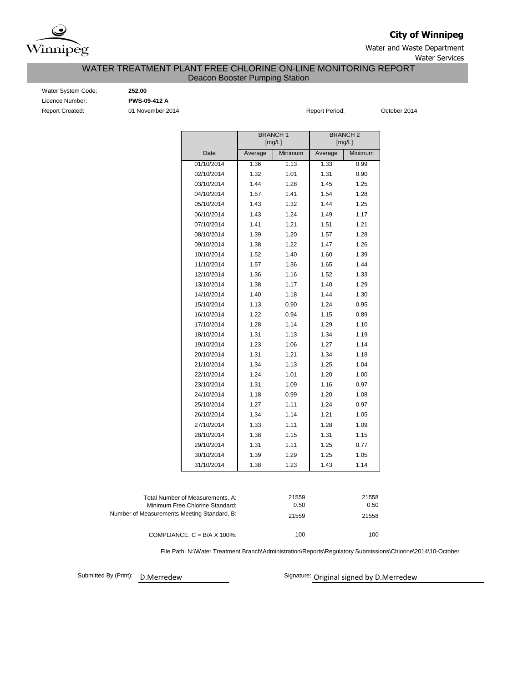

**City of Winnipeg**

Water and Waste Department Water Services

## Deacon Booster Pumping Station WATER TREATMENT PLANT FREE CHLORINE ON-LINE MONITORING REPORT

Water System Code: **252.00** Licence Number: **PWS-09-412 A** Report Created: 01 November 2014 **Report Period:** October 2014

|                                             |                                                                     |         | <b>BRANCH1</b><br>[mg/L] | <b>BRANCH 2</b><br>[mg/L] |               |  |  |  |
|---------------------------------------------|---------------------------------------------------------------------|---------|--------------------------|---------------------------|---------------|--|--|--|
|                                             | Date                                                                | Average | Minimum                  | Average                   | Minimum       |  |  |  |
|                                             | 01/10/2014                                                          | 1.36    | 1.13                     | 1.33                      | 0.99          |  |  |  |
|                                             | 02/10/2014                                                          | 1.32    | 1.01                     | 1.31                      | 0.90          |  |  |  |
|                                             | 03/10/2014                                                          | 1.44    | 1.28                     | 1.45                      | 1.25          |  |  |  |
|                                             | 04/10/2014                                                          | 1.57    | 1.41                     | 1.54                      | 1.28          |  |  |  |
|                                             | 05/10/2014                                                          | 1.43    | 1.32                     | 1.44                      | 1.25          |  |  |  |
|                                             | 06/10/2014                                                          | 1.43    | 1.24                     | 1.49                      | 1.17          |  |  |  |
|                                             | 07/10/2014                                                          | 1.41    | 1.21                     | 1.51                      | 1.21          |  |  |  |
|                                             | 08/10/2014                                                          | 1.39    | 1.20                     | 1.57                      | 1.28          |  |  |  |
|                                             | 09/10/2014                                                          | 1.38    | 1.22                     | 1.47                      | 1.26          |  |  |  |
|                                             | 10/10/2014                                                          | 1.52    | 1.40                     | 1.60                      | 1.39          |  |  |  |
|                                             | 11/10/2014                                                          | 1.57    | 1.36                     | 1.65                      | 1.44          |  |  |  |
|                                             | 12/10/2014                                                          | 1.36    | 1.16                     | 1.52                      | 1.33          |  |  |  |
|                                             | 13/10/2014                                                          | 1.38    | 1.17                     | 1.40                      | 1.29          |  |  |  |
|                                             | 14/10/2014                                                          | 1.40    | 1.18                     | 1.44                      | 1.30          |  |  |  |
|                                             | 15/10/2014                                                          | 1.13    | 0.90                     | 1.24                      | 0.95          |  |  |  |
|                                             | 16/10/2014                                                          | 1.22    | 0.94                     | 1.15                      | 0.89          |  |  |  |
|                                             | 17/10/2014                                                          | 1.28    | 1.14                     | 1.29                      | 1.10          |  |  |  |
|                                             | 18/10/2014                                                          | 1.31    | 1.13                     | 1.34                      | 1.19          |  |  |  |
|                                             | 19/10/2014                                                          | 1.23    | 1.06                     | 1.27                      | 1.14          |  |  |  |
|                                             | 20/10/2014                                                          | 1.31    | 1.21                     | 1.34                      | 1.18          |  |  |  |
|                                             | 21/10/2014                                                          | 1.34    | 1.13                     | 1.25                      | 1.04          |  |  |  |
|                                             | 22/10/2014                                                          | 1.24    | 1.01                     | 1.20                      | 1.00          |  |  |  |
|                                             | 23/10/2014                                                          | 1.31    | 1.09                     | 1.16                      | 0.97          |  |  |  |
|                                             | 24/10/2014                                                          | 1.18    | 0.99                     | 1.20                      | 1.08          |  |  |  |
|                                             | 25/10/2014                                                          | 1.27    | 1.11                     | 1.24                      | 0.97          |  |  |  |
|                                             | 26/10/2014                                                          | 1.34    | 1.14                     | 1.21                      | 1.05          |  |  |  |
|                                             | 27/10/2014                                                          | 1.33    | 1.11                     | 1.28                      | 1.09          |  |  |  |
|                                             | 28/10/2014                                                          | 1.38    | 1.15                     | 1.31                      | 1.15          |  |  |  |
|                                             | 29/10/2014                                                          | 1.31    | 1.11                     | 1.25                      | 0.77          |  |  |  |
|                                             | 30/10/2014                                                          | 1.39    | 1.29                     | 1.25                      | 1.05          |  |  |  |
|                                             | 31/10/2014                                                          | 1.38    | 1.23                     | 1.43                      | 1.14          |  |  |  |
|                                             |                                                                     |         |                          |                           |               |  |  |  |
|                                             | Total Number of Measurements, A:<br>Minimum Free Chlorine Standard: |         | 21559<br>0.50            |                           | 21558<br>0.50 |  |  |  |
| Number of Measurements Meeting Standard, B: |                                                                     |         | 21559                    |                           | 21558         |  |  |  |
|                                             |                                                                     |         |                          |                           |               |  |  |  |
|                                             | COMPLIANCE, $C = B/A \times 100\%$ :                                |         | 100                      |                           | 100           |  |  |  |

File Path: N:\Water Treatment Branch\Administration\Reports\Regulatory Submissions\Chlorine\2014\10-October

Submitted By (Print): D. Merredew

Signature: Original signed by D.Merredew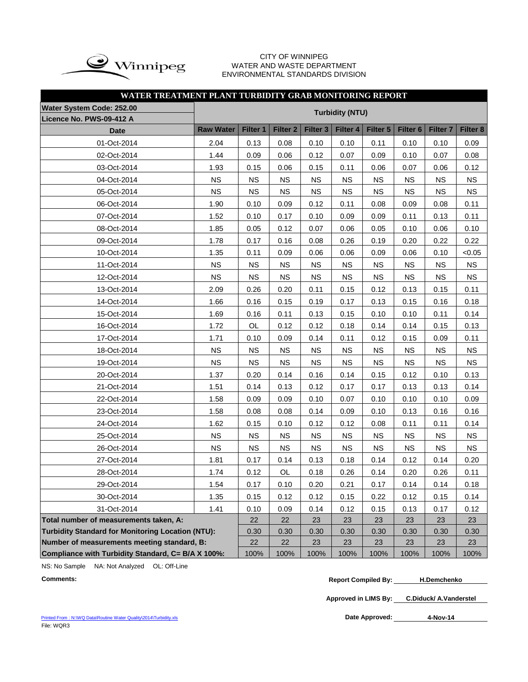

#### CITY OF WINNIPEG WATER AND WASTE DEPARTMENT ENVIRONMENTAL STANDARDS DIVISION

| WATER TREATMENT PLANT TURBIDITY GRAB MONITORING REPORT   |                  |                        |                     |                     |           |           |                     |                 |           |  |  |  |  |  |  |
|----------------------------------------------------------|------------------|------------------------|---------------------|---------------------|-----------|-----------|---------------------|-----------------|-----------|--|--|--|--|--|--|
| <b>Water System Code: 252.00</b>                         |                  | <b>Turbidity (NTU)</b> |                     |                     |           |           |                     |                 |           |  |  |  |  |  |  |
| Licence No. PWS-09-412 A                                 |                  |                        |                     |                     |           |           |                     |                 |           |  |  |  |  |  |  |
| <b>Date</b>                                              | <b>Raw Water</b> | Filter 1               | Filter <sub>2</sub> | Filter <sub>3</sub> | Filter 4  | Filter 5  | Filter <sub>6</sub> | <b>Filter 7</b> | Filter 8  |  |  |  |  |  |  |
| 01-Oct-2014                                              | 2.04             | 0.13                   | 0.08                | 0.10                | 0.10      | 0.11      | 0.10                | 0.10            | 0.09      |  |  |  |  |  |  |
| 02-Oct-2014                                              | 1.44             | 0.09                   | 0.06                | 0.12                | 0.07      | 0.09      | 0.10                | 0.07            | 0.08      |  |  |  |  |  |  |
| 03-Oct-2014                                              | 1.93             | 0.15                   | 0.06                | 0.15                | 0.11      | 0.06      | 0.07                | 0.06            | 0.12      |  |  |  |  |  |  |
| 04-Oct-2014                                              | <b>NS</b>        | <b>NS</b>              | <b>NS</b>           | <b>NS</b>           | <b>NS</b> | <b>NS</b> | <b>NS</b>           | <b>NS</b>       | <b>NS</b> |  |  |  |  |  |  |
| 05-Oct-2014                                              | <b>NS</b>        | <b>NS</b>              | <b>NS</b>           | <b>NS</b>           | <b>NS</b> | <b>NS</b> | <b>NS</b>           | <b>NS</b>       | <b>NS</b> |  |  |  |  |  |  |
| 06-Oct-2014                                              | 1.90             | 0.10                   | 0.09                | 0.12                | 0.11      | 0.08      | 0.09                | 0.08            | 0.11      |  |  |  |  |  |  |
| 07-Oct-2014                                              | 1.52             | 0.10                   | 0.17                | 0.10                | 0.09      | 0.09      | 0.11                | 0.13            | 0.11      |  |  |  |  |  |  |
| 08-Oct-2014                                              | 1.85             | 0.05                   | 0.12                | 0.07                | 0.06      | 0.05      | 0.10                | 0.06            | 0.10      |  |  |  |  |  |  |
| 09-Oct-2014                                              | 1.78             | 0.17                   | 0.16                | 0.08                | 0.26      | 0.19      | 0.20                | 0.22            | 0.22      |  |  |  |  |  |  |
| 10-Oct-2014                                              | 1.35             | 0.11                   | 0.09                | 0.06                | 0.06      | 0.09      | 0.06                | 0.10            | < 0.05    |  |  |  |  |  |  |
| 11-Oct-2014                                              | <b>NS</b>        | <b>NS</b>              | <b>NS</b>           | <b>NS</b>           | <b>NS</b> | <b>NS</b> | <b>NS</b>           | <b>NS</b>       | NS        |  |  |  |  |  |  |
| 12-Oct-2014                                              | <b>NS</b>        | <b>NS</b>              | <b>NS</b>           | <b>NS</b>           | <b>NS</b> | <b>NS</b> | <b>NS</b>           | <b>NS</b>       | <b>NS</b> |  |  |  |  |  |  |
| 13-Oct-2014                                              | 2.09             | 0.26                   | 0.20                | 0.11                | 0.15      | 0.12      | 0.13                | 0.15            | 0.11      |  |  |  |  |  |  |
| 14-Oct-2014                                              | 1.66             | 0.16                   | 0.15                | 0.19                | 0.17      | 0.13      | 0.15                | 0.16            | 0.18      |  |  |  |  |  |  |
| 15-Oct-2014                                              | 1.69             | 0.16                   | 0.11                | 0.13                | 0.15      | 0.10      | 0.10                | 0.11            | 0.14      |  |  |  |  |  |  |
| 16-Oct-2014                                              | 1.72             | OL                     | 0.12                | 0.12                | 0.18      | 0.14      | 0.14                | 0.15            | 0.13      |  |  |  |  |  |  |
| 17-Oct-2014                                              | 1.71             | 0.10                   | 0.09                | 0.14                | 0.11      | 0.12      | 0.15                | 0.09            | 0.11      |  |  |  |  |  |  |
| 18-Oct-2014                                              | <b>NS</b>        | <b>NS</b>              | <b>NS</b>           | <b>NS</b>           | <b>NS</b> | <b>NS</b> | <b>NS</b>           | <b>NS</b>       | <b>NS</b> |  |  |  |  |  |  |
| 19-Oct-2014                                              | <b>NS</b>        | <b>NS</b>              | <b>NS</b>           | <b>NS</b>           | <b>NS</b> | <b>NS</b> | <b>NS</b>           | <b>NS</b>       | <b>NS</b> |  |  |  |  |  |  |
| 20-Oct-2014                                              | 1.37             | 0.20                   | 0.14                | 0.16                | 0.14      | 0.15      | 0.12                | 0.10            | 0.13      |  |  |  |  |  |  |
| 21-Oct-2014                                              | 1.51             | 0.14                   | 0.13                | 0.12                | 0.17      | 0.17      | 0.13                | 0.13            | 0.14      |  |  |  |  |  |  |
| 22-Oct-2014                                              | 1.58             | 0.09                   | 0.09                | 0.10                | 0.07      | 0.10      | 0.10                | 0.10            | 0.09      |  |  |  |  |  |  |
| 23-Oct-2014                                              | 1.58             | 0.08                   | 0.08                | 0.14                | 0.09      | 0.10      | 0.13                | 0.16            | 0.16      |  |  |  |  |  |  |
| 24-Oct-2014                                              | 1.62             | 0.15                   | 0.10                | 0.12                | 0.12      | 0.08      | 0.11                | 0.11            | 0.14      |  |  |  |  |  |  |
| 25-Oct-2014                                              | <b>NS</b>        | <b>NS</b>              | <b>NS</b>           | <b>NS</b>           | <b>NS</b> | <b>NS</b> | <b>NS</b>           | <b>NS</b>       | <b>NS</b> |  |  |  |  |  |  |
| 26-Oct-2014                                              | <b>NS</b>        | <b>NS</b>              | <b>NS</b>           | <b>NS</b>           | <b>NS</b> | <b>NS</b> | <b>NS</b>           | <b>NS</b>       | <b>NS</b> |  |  |  |  |  |  |
| 27-Oct-2014                                              | 1.81             | 0.17                   | 0.14                | 0.13                | 0.18      | 0.14      | 0.12                | 0.14            | 0.20      |  |  |  |  |  |  |
| 28-Oct-2014                                              | 1.74             | 0.12                   | OL                  | 0.18                | 0.26      | 0.14      | 0.20                | 0.26            | 0.11      |  |  |  |  |  |  |
| 29-Oct-2014                                              | 1.54             | 0.17                   | 0.10                | 0.20                | 0.21      | 0.17      | 0.14                | 0.14            | 0.18      |  |  |  |  |  |  |
| 30-Oct-2014                                              | 1.35             | 0.15                   | 0.12                | 0.12                | 0.15      | 0.22      | 0.12                | 0.15            | 0.14      |  |  |  |  |  |  |
| 31-Oct-2014                                              | 1.41             | 0.10                   | 0.09                | 0.14                | 0.12      | 0.15      | 0.13                | 0.17            | 0.12      |  |  |  |  |  |  |
| Total number of measurements taken, A:                   |                  | 22                     | 22                  | 23                  | 23        | 23        | 23                  | 23              | 23        |  |  |  |  |  |  |
| <b>Turbidity Standard for Monitoring Location (NTU):</b> |                  | 0.30                   | 0.30                | 0.30                | 0.30      | 0.30      | 0.30                | 0.30            | 0.30      |  |  |  |  |  |  |
| Number of measurements meeting standard, B:              |                  | 22                     | 22                  | 23                  | 23        | 23        | 23                  | 23              | 23        |  |  |  |  |  |  |
| Compliance with Turbidity Standard, C= B/A X 100%:       | 100%             | 100%                   | 100%                | 100%                | 100%      | 100%      | 100%                | 100%            |           |  |  |  |  |  |  |

NS: No Sample NA: Not Analyzed OL: Off-Line

**Comments: Report Compiled By: H.Demchenko**

**Approved in LIMS By: C.Diduck/ A.Vanderstel**

[Printed From : N:\WQ Data\Routine Water Quality\2014\Turbidity.xls](C:/Documents and Settings/rgrossel/Local Settings/Temporary Internet Files/OLK13/Turbidity 2010.xls) File: WQR3

Date Approved: 4-Nov-14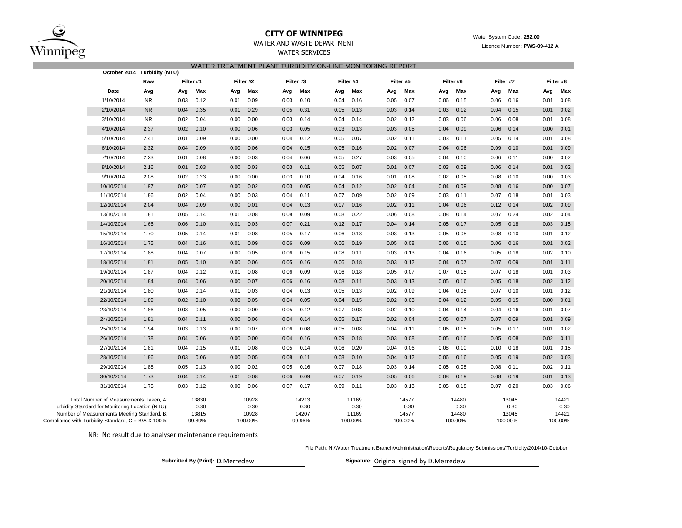

# **CITY OF WINNIPEG** Water System Code: 252.00

| <b>WATER SERVICES</b> |  |
|-----------------------|--|
|                       |  |

|                                                     |                                                   |                              |           |        |      |           | WATER TREATMENT PLANT TURBIDITY ON-LINE MONITORING REPORT |           |      |           |           |         |           |         |           |         |      |               |
|-----------------------------------------------------|---------------------------------------------------|------------------------------|-----------|--------|------|-----------|-----------------------------------------------------------|-----------|------|-----------|-----------|---------|-----------|---------|-----------|---------|------|---------------|
|                                                     |                                                   | October 2014 Turbidity (NTU) |           |        |      |           |                                                           |           |      |           |           |         |           |         |           |         |      |               |
|                                                     |                                                   | Raw                          | Filter #1 |        |      | Filter #2 |                                                           | Filter #3 |      | Filter #4 | Filter #5 |         | Filter #6 |         | Filter #7 |         |      | Filter #8     |
|                                                     | Date                                              | Avg                          | Avg       | Max    | Avg  | Max       | Avg                                                       | Max       | Avg  | Max       | Avg       | Max     | Avg       | Max     | Avg       | Max     | Avg  | Max           |
|                                                     | 1/10/2014                                         | <b>NR</b>                    | 0.03      | 0.12   | 0.01 | 0.09      | 0.03                                                      | 0.10      | 0.04 | 0.16      | 0.05      | 0.07    | 0.06      | 0.15    | 0.06      | 0.16    | 0.01 | 0.08          |
|                                                     | 2/10/2014                                         | <b>NR</b>                    | 0.04      | 0.35   | 0.01 | 0.29      | 0.05                                                      | 0.31      | 0.05 | 0.13      | 0.03      | 0.14    | 0.03      | 0.12    | 0.04      | 0.15    | 0.01 | 0.02          |
|                                                     | 3/10/2014                                         | <b>NR</b>                    | 0.02      | 0.04   | 0.00 | 0.00      | 0.03                                                      | 0.14      | 0.04 | 0.14      | 0.02      | 0.12    | 0.03      | 0.06    | 0.06      | 0.08    | 0.01 | 0.08          |
|                                                     | 4/10/2014                                         | 2.37                         | 0.02      | 0.10   | 0.00 | 0.06      | 0.03                                                      | 0.05      | 0.03 | 0.13      | 0.03      | 0.05    | 0.04      | 0.09    | 0.06      | 0.14    | 0.00 | 0.01          |
|                                                     | 5/10/2014                                         | 2.41                         | 0.01      | 0.09   | 0.00 | 0.00      | 0.04                                                      | 0.12      | 0.05 | 0.07      | 0.02      | 0.11    | 0.03      | 0.11    | 0.05      | 0.14    | 0.01 | 0.08          |
|                                                     | 6/10/2014                                         | 2.32                         | 0.04      | 0.09   | 0.00 | 0.06      | 0.04                                                      | 0.15      | 0.05 | 0.16      | 0.02      | 0.07    | 0.04      | 0.06    | 0.09      | 0.10    | 0.01 | 0.09          |
|                                                     | 7/10/2014                                         | 2.23                         | 0.01      | 0.08   | 0.00 | 0.03      | 0.04                                                      | 0.06      | 0.05 | 0.27      | 0.03      | 0.05    | 0.04      | 0.10    | 0.06      | 0.11    | 0.00 | 0.02          |
|                                                     | 8/10/2014                                         | 2.16                         | 0.01      | 0.03   | 0.00 | 0.03      | 0.03                                                      | 0.11      | 0.05 | 0.07      | 0.01      | 0.07    | 0.03      | 0.09    | 0.06      | 0.14    | 0.01 | 0.02          |
|                                                     | 9/10/2014                                         | 2.08                         | 0.02      | 0.23   | 0.00 | 0.00      | 0.03                                                      | 0.10      | 0.04 | 0.16      | 0.01      | 0.08    | 0.02      | 0.05    | 0.08      | 0.10    | 0.00 | 0.03          |
|                                                     | 10/10/2014                                        | 1.97                         | 0.02      | 0.07   | 0.00 | 0.02      | 0.03                                                      | 0.05      | 0.04 | 0.12      | 0.02      | 0.04    | 0.04      | 0.09    | 0.08      | 0.16    | 0.00 | 0.07          |
|                                                     | 11/10/2014                                        | 1.86                         | 0.02      | 0.04   | 0.00 | 0.03      | 0.04                                                      | 0.11      | 0.07 | 0.09      | 0.02      | 0.09    | 0.03      | 0.11    | 0.07      | 0.18    | 0.01 | 0.03          |
|                                                     | 12/10/2014                                        | 2.04                         | 0.04      | 0.09   | 0.00 | 0.01      | 0.04                                                      | 0.13      | 0.07 | 0.16      | 0.02      | 0.11    | 0.04      | 0.06    | 0.12      | 0.14    | 0.02 | 0.09          |
|                                                     | 13/10/2014                                        | 1.81                         | 0.05      | 0.14   | 0.01 | 0.08      | 0.08                                                      | 0.09      | 0.08 | 0.22      | 0.06      | 0.08    | 0.08      | 0.14    | 0.07      | 0.24    | 0.02 | 0.04          |
|                                                     | 14/10/2014                                        | 1.66                         | 0.06      | 0.10   | 0.01 | 0.03      | 0.07                                                      | 0.21      | 0.12 | 0.17      | 0.04      | 0.14    | 0.05      | 0.17    | 0.05      | 0.18    | 0.03 | 0.15          |
|                                                     | 15/10/2014                                        | 1.70                         | 0.05      | 0.14   | 0.01 | 0.08      | 0.05                                                      | 0.17      | 0.06 | 0.18      | 0.03      | 0.13    | 0.05      | 0.08    | 0.08      | 0.10    | 0.01 | 0.12          |
|                                                     | 16/10/2014                                        | 1.75                         | 0.04      | 0.16   | 0.01 | 0.09      | 0.06                                                      | 0.09      | 0.06 | 0.19      | 0.05      | 0.08    | 0.06      | 0.15    | 0.06      | 0.16    | 0.01 | 0.02          |
|                                                     | 17/10/2014                                        | 1.88                         | 0.04      | 0.07   | 0.00 | 0.05      | 0.06                                                      | 0.15      | 0.08 | 0.11      | 0.03      | 0.13    | 0.04      | 0.16    | 0.05      | 0.18    | 0.02 | 0.10          |
|                                                     | 18/10/2014                                        | 1.81                         | 0.05      | 0.10   | 0.00 | 0.06      | 0.05                                                      | 0.16      | 0.06 | 0.18      | 0.03      | 0.12    | 0.04      | 0.07    | 0.07      | 0.09    | 0.01 | 0.11          |
|                                                     | 19/10/2014                                        | 1.87                         | 0.04      | 0.12   | 0.01 | 0.08      | 0.06                                                      | 0.09      | 0.06 | 0.18      | 0.05      | 0.07    | 0.07      | 0.15    | 0.07      | 0.18    | 0.01 | 0.03          |
|                                                     | 20/10/2014                                        | 1.84                         | 0.04      | 0.06   | 0.00 | 0.07      | 0.06                                                      | 0.16      | 0.08 | 0.11      | 0.03      | 0.13    | 0.05      | 0.16    | 0.05      | 0.18    | 0.02 | 0.12          |
|                                                     | 21/10/2014                                        | 1.80                         | 0.04      | 0.14   | 0.01 | 0.03      | 0.04                                                      | 0.13      | 0.05 | 0.13      | 0.02      | 0.09    | 0.04      | 0.08    | 0.07      | 0.10    | 0.01 | 0.12          |
|                                                     | 22/10/2014                                        | 1.89                         | 0.02      | 0.10   | 0.00 | 0.05      | 0.04                                                      | 0.05      | 0.04 | 0.15      | 0.02      | 0.03    | 0.04      | 0.12    | 0.05      | 0.15    | 0.00 | 0.01          |
|                                                     | 23/10/2014                                        | 1.86                         | 0.03      | 0.05   | 0.00 | 0.00      | 0.05                                                      | 0.12      | 0.07 | 0.08      | 0.02      | 0.10    | 0.04      | 0.14    | 0.04      | 0.16    | 0.01 | 0.07          |
|                                                     | 24/10/2014                                        | 1.81                         | 0.04      | 0.11   | 0.00 | 0.06      | 0.04                                                      | 0.14      | 0.05 | 0.17      | 0.02      | 0.04    | 0.05      | 0.07    | 0.07      | 0.09    | 0.01 | 0.09          |
|                                                     | 25/10/2014                                        | 1.94                         | 0.03      | 0.13   | 0.00 | 0.07      | 0.06                                                      | 0.08      | 0.05 | 0.08      | 0.04      | 0.11    | 0.06      | 0.15    | 0.05      | 0.17    | 0.01 | 0.02          |
|                                                     | 26/10/2014                                        | 1.78                         | 0.04      | 0.06   | 0.00 | 0.00      | 0.04                                                      | 0.16      | 0.09 | 0.18      | 0.03      | 0.08    | 0.05      | 0.16    | 0.05      | 0.08    | 0.02 | 0.11          |
|                                                     | 27/10/2014                                        | 1.81                         | 0.04      | 0.15   | 0.01 | 0.08      | 0.05                                                      | 0.14      | 0.06 | 0.20      | 0.04      | 0.06    | 0.08      | 0.10    | 0.10      | 0.18    | 0.01 | 0.15          |
|                                                     | 28/10/2014                                        | 1.86                         | 0.03      | 0.06   | 0.00 | 0.05      | 0.08                                                      | 0.11      | 0.08 | 0.10      | 0.04      | 0.12    | 0.06      | 0.16    | 0.05      | 0.19    | 0.02 | 0.03          |
|                                                     | 29/10/2014                                        | 1.88                         | 0.05      | 0.13   | 0.00 | 0.02      | 0.05                                                      | 0.16      | 0.07 | 0.18      | 0.03      | 0.14    | 0.05      | 0.08    | 0.08      | 0.11    | 0.02 | 0.11          |
|                                                     | 30/10/2014                                        | 1.73                         | 0.04      | 0.14   | 0.01 | 0.08      | 0.06                                                      | 0.09      | 0.07 | 0.19      | 0.05      | 0.06    | 0.08      | 0.19    | 0.08      | 0.19    | 0.01 | 0.13          |
|                                                     | 31/10/2014                                        | 1.75                         | 0.03      | 0.12   | 0.00 | 0.06      | 0.07                                                      | 0.17      | 0.09 | 0.11      | 0.03      | 0.13    | 0.05      | 0.18    | 0.07      | 0.20    | 0.03 | 0.06          |
|                                                     | Total Number of Measurements Taken, A:            |                              |           | 13830  |      | 10928     |                                                           | 14213     |      | 11169     |           | 14577   |           | 14480   |           | 13045   |      |               |
|                                                     | Turbidity Standard for Monitoring Location (NTU): |                              |           | 0.30   |      | 0.30      |                                                           | 0.30      |      | 0.30      |           | 0.30    |           | 0.30    |           | 0.30    |      | 14421<br>0.30 |
|                                                     | Number of Measurements Meeting Standard, B:       |                              |           | 13815  |      | 10928     |                                                           | 14207     |      | 11169     |           | 14577   |           | 14480   |           | 13045   |      | 14421         |
| Compliance with Turbidity Standard, C = B/A X 100%: |                                                   |                              |           | 99.89% |      | 100.00%   |                                                           | 99.96%    |      | 100.00%   |           | 100.00% |           | 100.00% |           | 100.00% |      | 100.00%       |

NR: No result due to analyser maintenance requirements

File Path: N:\Water Treatment Branch\Administration\Reports\Regulatory Submissions\Turbidity\2014\10-October

**Submitted By (Print): D.Merredew** 

Signature: Original signed by D.Merredew